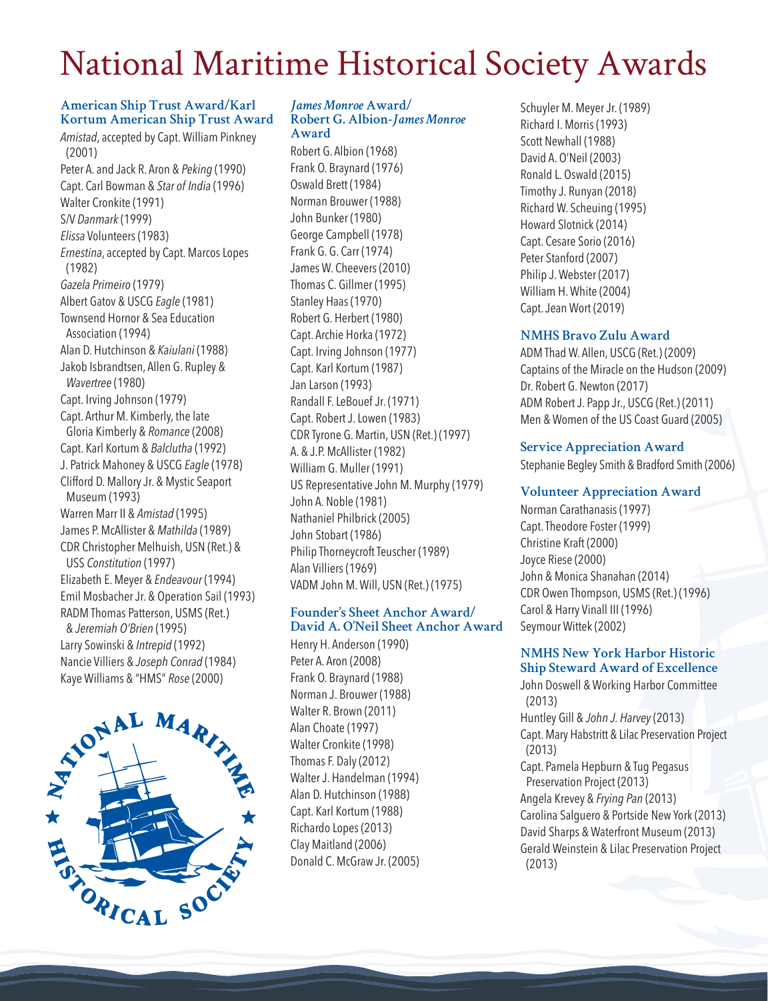# National Maritime Historical Society Awards

#### **American Ship Trust Award/Karl Kortum American Ship Trust Award**

*Amistad*, accepted by Capt. William Pinkney (2001) Peter A. and Jack R. Aron & *Peking* (1990) Capt. Carl Bowman & *Star of India* (1996) Walter Cronkite (1991) S/V *Danmark* (1999) *Elissa* Volunteers (1983) *Ernestina*, accepted by Capt. Marcos Lopes (1982) *Gazela Primeiro* (1979) Albert Gatov & USCG *Eagle* (1981) Townsend Hornor & Sea Education Association (1994) Alan D. Hutchinson & *Kaiulani* (1988) Jakob Isbrandtsen, Allen G. Rupley & *Wavertree* (1980) Capt. Irving Johnson (1979) Capt. Arthur M. Kimberly, the late Gloria Kimberly & *Romance* (2008) Capt. Karl Kortum & *Balclutha* (1992) J. Patrick Mahoney & USCG *Eagle* (1978) Clifford D. Mallory Jr. & Mystic Seaport Museum (1993) Warren Marr II & *Amistad* (1995) James P. McAllister & *Mathilda* (1989) CDR Christopher Melhuish, USN (Ret.) & USS *Constitution* (1997) Elizabeth E. Meyer & *Endeavour* (1994) Emil Mosbacher Jr. & Operation Sail (1993) RADM Thomas Patterson, USMS (Ret.) & *Jeremiah O'Brien* (1995) Larry Sowinski & *Intrepid* (1992) Nancie Villiers & *Joseph Conrad* (1984)



#### *James Monroe* **Award/ Robert G. Albion-***James Monroe* **Award**

Robert G. Albion (1968) Frank O. Braynard (1976) Oswald Brett (1984) Norman Brouwer (1988) John Bunker (1980) George Campbell (1978) Frank G. G. Carr (1974) James W. Cheevers (2010) Thomas C. Gillmer (1995) Stanley Haas (1970) Robert G. Herbert (1980) Capt. Archie Horka (1972) Capt. Irving Johnson (1977) Capt. Karl Kortum (1987) Jan Larson (1993) Randall F. LeBouef Jr. (1971) Capt. Robert J. Lowen (1983) CDR Tyrone G. Martin, USN (Ret.) (1997) A. & J.P. McAllister (1982) William G. Muller (1991) US Representative John M. Murphy (1979) John A. Noble (1981) Nathaniel Philbrick (2005) John Stobart (1986) Philip Thorneycroft Teuscher (1989) Alan Villiers (1969) VADM John M. Will, USN (Ret.) (1975)

#### **Founder's Sheet Anchor Award/ David A. O'Neil Sheet Anchor Award**

Henry H. Anderson (1990) Peter A. Aron (2008) Frank O. Braynard (1988) Norman J. Brouwer (1988) Walter R. Brown (2011) Alan Choate (1997) Walter Cronkite (1998) Thomas F. Daly (2012) Walter J. Handelman (1994) Alan D. Hutchinson (1988) Capt. Karl Kortum (1988) Richardo Lopes (2013) Clay Maitland (2006) Donald C. McGraw Jr. (2005)

Schuyler M. Meyer Jr. (1989) Richard I. Morris (1993) Scott Newhall (1988) David A. O'Neil (2003) Ronald L. Oswald (2015) Timothy J. Runyan (2018) Richard W. Scheuing (1995) Howard Slotnick (2014) Capt. Cesare Sorio (2016) Peter Stanford (2007) Philip J. Webster (2017) William H. White (2004) Capt. Jean Wort (2019)

## **NMHS Bravo Zulu Award**

ADM Thad W. Allen, USCG (Ret.) (2009) Captains of the Miracle on the Hudson (2009) Dr. Robert G. Newton (2017) ADM Robert J. Papp Jr., USCG (Ret.) (2011) Men & Women of the US Coast Guard (2005)

## **Service Appreciation Award**

Stephanie Begley Smith & Bradford Smith (2006)

# **Volunteer Appreciation Award**

Norman Carathanasis (1997) Capt. Theodore Foster (1999) Christine Kraft (2000) Joyce Riese (2000) John & Monica Shanahan (2014) CDR Owen Thompson, USMS (Ret.) (1996) Carol & Harry Vinall III (1996) Seymour Wittek (2002)

## **NMHS New York Harbor Historic Ship Steward Award of Excellence**

John Doswell & Working Harbor Committee (2013) Huntley Gill & *John J. Harvey* (2013) Capt. Mary Habstritt & Lilac Preservation Project (2013) Capt. Pamela Hepburn & Tug Pegasus Preservation Project (2013) Angela Krevey & *Frying Pan* (2013) Carolina Salguero & Portside New York (2013) David Sharps & Waterfront Museum (2013) Gerald Weinstein & Lilac Preservation Project (2013)